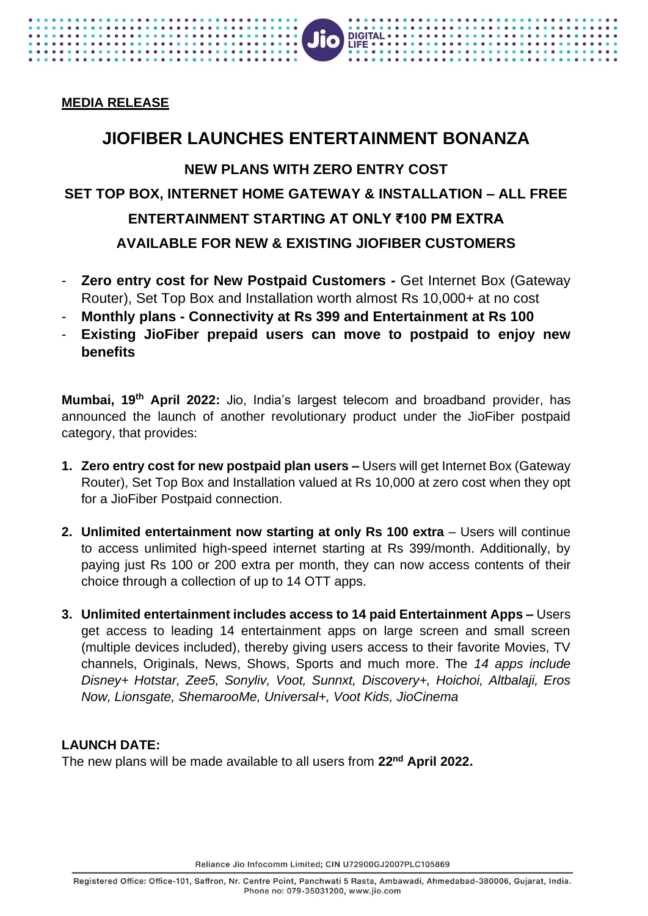## **MEDIA RELEASE**

. . . . . . . . . . . . .

. . . . . . . . . . . . . . . . . . . .

# **JIOFIBER LAUNCHES ENTERTAINMENT BONANZA NEW PLANS WITH ZERO ENTRY COST SET TOP BOX, INTERNET HOME GATEWAY & INSTALLATION – ALL FREE ENTERTAINMENT STARTING AT ONLY ₹100 PM EXTRA AVAILABLE FOR NEW & EXISTING JIOFIBER CUSTOMERS**

JIO

DIGITAL . . .

 $IIFF \cdot \cdot \cdot$ 

- **Zero entry cost for New Postpaid Customers Get Internet Box (Gateway)** Router), Set Top Box and Installation worth almost Rs 10,000+ at no cost
- **Monthly plans - Connectivity at Rs 399 and Entertainment at Rs 100**
- **Existing JioFiber prepaid users can move to postpaid to enjoy new benefits**

**Mumbai, 19th April 2022:** Jio, India's largest telecom and broadband provider, has announced the launch of another revolutionary product under the JioFiber postpaid category, that provides:

- **1. Zero entry cost for new postpaid plan users –** Users will get Internet Box (Gateway Router), Set Top Box and Installation valued at Rs 10,000 at zero cost when they opt for a JioFiber Postpaid connection.
- **2. Unlimited entertainment now starting at only Rs 100 extra Users will continue** to access unlimited high-speed internet starting at Rs 399/month. Additionally, by paying just Rs 100 or 200 extra per month, they can now access contents of their choice through a collection of up to 14 OTT apps.
- **3. Unlimited entertainment includes access to 14 paid Entertainment Apps –** Users get access to leading 14 entertainment apps on large screen and small screen (multiple devices included), thereby giving users access to their favorite Movies, TV channels, Originals, News, Shows, Sports and much more. The *14 apps include Disney+ Hotstar, Zee5, Sonyliv, Voot, Sunnxt, Discovery+, Hoichoi, Altbalaji, Eros Now, Lionsgate, ShemarooMe, Universal+, Voot Kids, JioCinema*

## **LAUNCH DATE:**

The new plans will be made available to all users from **22 nd April 2022.**

Reliance Jio Infocomm Limited; CIN U72900GJ2007PLC105869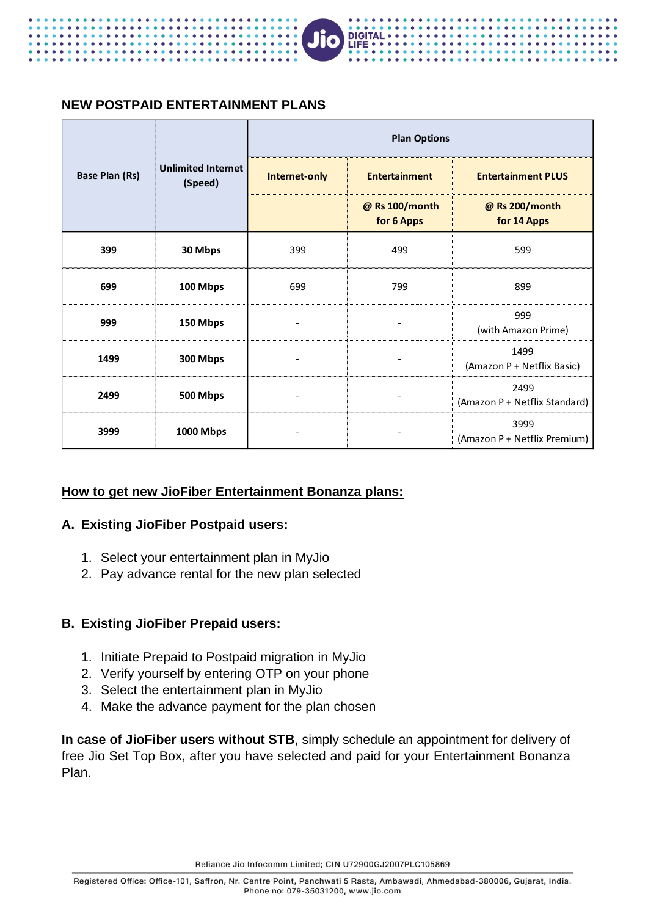

#### **NEW POSTPAID ENTERTAINMENT PLANS**

|                       |                                      | <b>Plan Options</b> |                              |                                       |
|-----------------------|--------------------------------------|---------------------|------------------------------|---------------------------------------|
| <b>Base Plan (Rs)</b> | <b>Unlimited Internet</b><br>(Speed) | Internet-only       | <b>Entertainment</b>         | <b>Entertainment PLUS</b>             |
|                       |                                      |                     | @ Rs 100/month<br>for 6 Apps | @ Rs 200/month<br>for 14 Apps         |
| 399                   | 30 Mbps                              | 399                 | 499                          | 599                                   |
| 699                   | 100 Mbps                             | 699                 | 799                          | 899                                   |
| 999                   | 150 Mbps                             |                     |                              | 999<br>(with Amazon Prime)            |
| 1499                  | 300 Mbps                             |                     |                              | 1499<br>(Amazon P + Netflix Basic)    |
| 2499                  | 500 Mbps                             |                     |                              | 2499<br>(Amazon P + Netflix Standard) |
| 3999                  | 1000 Mbps                            |                     |                              | 3999<br>(Amazon P + Netflix Premium)  |

#### **How to get new JioFiber Entertainment Bonanza plans:**

#### **A. Existing JioFiber Postpaid users:**

- 1. Select your entertainment plan in MyJio
- 2. Pay advance rental for the new plan selected

#### **B. Existing JioFiber Prepaid users:**

- 1. Initiate Prepaid to Postpaid migration in MyJio
- 2. Verify yourself by entering OTP on your phone
- 3. Select the entertainment plan in MyJio
- 4. Make the advance payment for the plan chosen

**In case of JioFiber users without STB**, simply schedule an appointment for delivery of free Jio Set Top Box, after you have selected and paid for your Entertainment Bonanza Plan.

Reliance Jio Infocomm Limited; CIN U72900GJ2007PLC105869